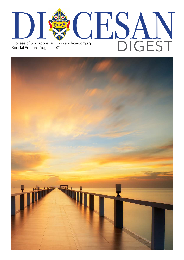

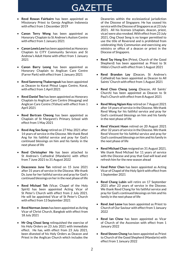

- **Revd Rowan Fairbairn** has been appointed as Missionary Priest to Gereja Anglikan Indonesia with effect from 1 December 2019
- **Canon Terry Wong** has been appointed as Honorary Chaplain to St Andrew's Autism Centre with effect from 1 January 2021
- **Canon Lewis Lew** has been appointed as Honorary Chaplain to CITY Community Services and St Andrew's Adult Home with effect from 1 January 2021
- **Canon Barry Leong** has been appointed as Honorary Chaplain to Anglican Care Centre (Farrer Park) with effect from 1 January 2021
- **Revd Samrerng Thakerngsuk** has been appointed as Deacon to Korat Phisut Logos Centre, Korat, with effect from 1 April 2021
- **Revd Daniel Teo** has been appointed as Honorary Chaplain to Anglican Care Centre (Hougang) and Anglican Care Centre (Yishun) with effect from 1 April 2021
- **Revd Bertram Cheong** has been appointed as Chaplain of St Margaret's Primary School with effect from 1 May 2021
- **Revd Ang Soo Sung** retired on 27 May 2021 after 14 years of service in the Diocese. We thank Revd Ang for his faithful service and pray for God's continued blessings on him and his family in the next phase of life
- **Revd Christopher Ho** has been attached to St Andrew's Cathedral (Mandarin) with effect from 7 June 2021 to 31 August 2022
- **Deaconess June Tan** retired on 15 June 2021 after 31 years of service in the Diocese. We thank Ds June for her faithful service and pray for God's continued blessings on her in the next phase of life
- **Revd Michael Teh** (Vicar, Chapel of the Holy Spirit) has been appointed Acting Vicar of St Peter's Church with effect from 2 July 2021. He will be appointed Vicar of St Peter's Church with effect from 13 September 2021
- **Revd Norman Jones** has been appointed as Acting Vicar of Christ Church, Bangkok with effect from 18 July 2021
- **Mr Ong Chooi Seng** relinquished the exercise of his Holy Orders on 23 July 2021 with immediate effect. He has, with effect from 23 July 2021, been divested of his Holy Orders as Deacon and Priest in the Anglican Church which includes the

Deaneries within the ecclesiastical jurisdiction of the Diocese of Singapore. He has ceased his service with the Diocese of Singapore as at 23 July 2021. All his licenses (chaplain, deacon, priest, vicar) were also revoked. With effect from 23 July 2021, Ong Chooi Seng is no longer permitted to use the title of Reverend and is prohibited from celebrating Holy Communion and exercising any ministry or office of a deacon or priest in the Diocese of Singapore.

- **Revd Tay Hong Ern** (Priest, Church of the Good Shepherd) has been appointed as Priest to St Hilda's Church with effect from 1 August 2021
- **Revd Brandon Loy** (Deacon, St Andrew's Cathedral) has been appointed as Deacon to All Saints' Church with effect from 1 August 2021
- **Revd Choo Cheng Leong** (Deacon, All Saints' Church) has been appointed as Deacon to St Paul's Church with effect from 8 August 2021
- **Revd Wong Ngiam Koy** retired on 7 August 2021 after 14 years of service in the Diocese. We thank Revd Wong for his faithful service and pray for God's continued blessings on him and his family in the next phase of life
- **Revd Vincent Hoon** retired on 20 August 2021 after 32 years of service in the Diocese. We thank Revd Vincent for his faithful service and pray for God's continued blessings on him and his family in the next phase of life
- **Revd Michael Chan** resigned on 31 August 2021. We thank Revd Michael for 11 years of service with the Diocese and pray that God will lead and refresh him for the new season ahead
- R**evd Peter Chen** has been appointed as Acting Vicar of Chapel of the Holy Spirit with effect from 1 September 2021
- **Revd Chang Lubin** will retire on 17 September 2021 after 23 years of service in the Diocese. We thank Revd Chang for his faithful service and pray for God's continued blessings on him and his family in the next phase of life
- **Revd Joel Leow** has been appointed as Priest to Church of Our Saviour with effect from 1 January 2022
- **Revd Ian Chew** has been appointed as Vicar of Church of the Ascension with effect from 1 January 2022
- **Revd Steven Chong** has been appointed as Priest to Church of the Good Shepherd (Mandarin) with effect from 1 January 2022